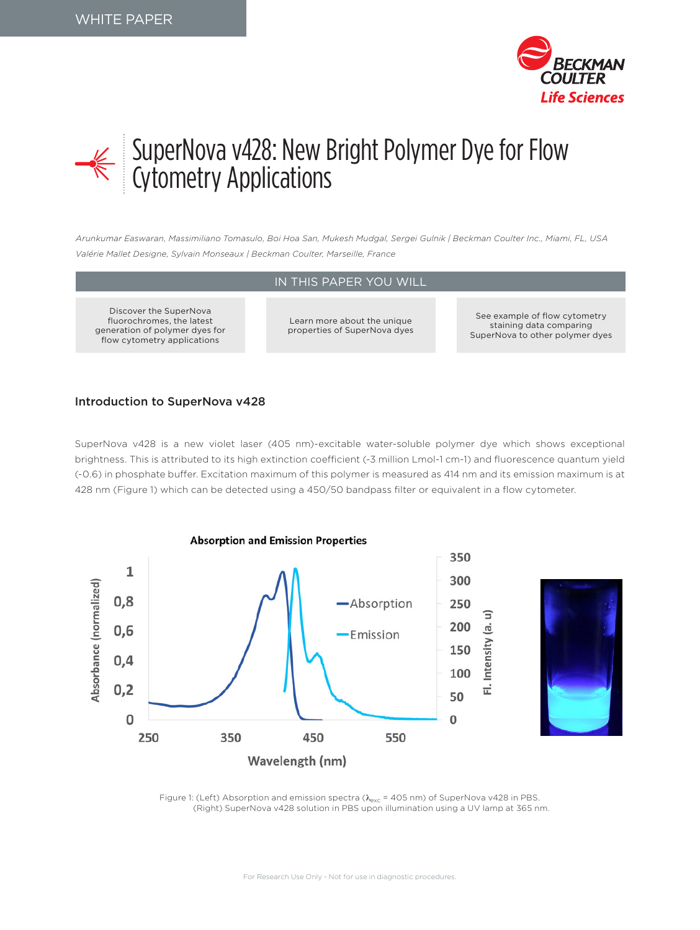



# SuperNova v428: New Bright Polymer Dye for Flow Cytometry Applications

*Arunkumar Easwaran, Massimiliano Tomasulo, Boi Hoa San, Mukesh Mudgal, Sergei Gulnik | Beckman Coulter Inc., Miami, FL, USA Valérie Mallet Designe, Sylvain Monseaux | Beckman Coulter, Marseille, France*

### IN THIS PAPER YOU WILL

Discover the SuperNova fluorochromes, the latest generation of polymer dyes for flow cytometry applications

Learn more about the unique properties of SuperNova dyes

See example of flow cytometry staining data comparing SuperNova to other polymer dyes

#### Introduction to SuperNova v428

SuperNova v428 is a new violet laser (405 nm)-excitable water-soluble polymer dye which shows exceptional brightness. This is attributed to its high extinction coefficient (~3 million Lmol-1 cm-1) and fluorescence quantum yield (~0.6) in phosphate buffer. Excitation maximum of this polymer is measured as 414 nm and its emission maximum is at 428 nm (Figure 1) which can be detected using a 450/50 bandpass filter or equivalent in a flow cytometer.



Figure 1: (Left) Absorption and emission spectra ( $\lambda_{\rm exc}$  = 405 nm) of SuperNova v428 in PBS. (Right) SuperNova v428 solution in PBS upon illumination using a UV lamp at 365 nm.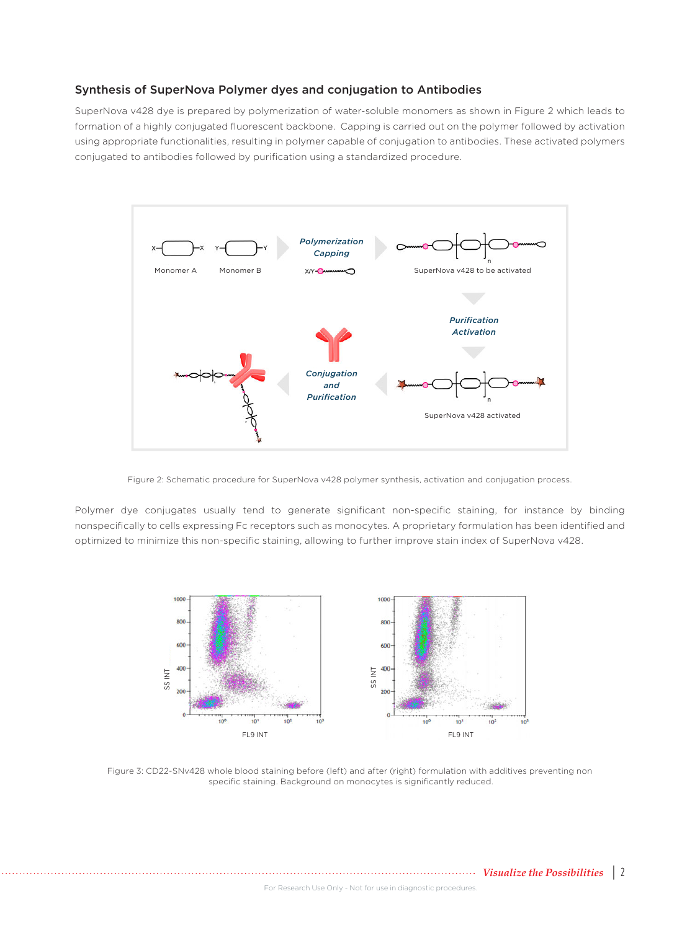#### Synthesis of SuperNova Polymer dyes and conjugation to Antibodies

SuperNova v428 dye is prepared by polymerization of water-soluble monomers as shown in Figure 2 which leads to formation of a highly conjugated fluorescent backbone. Capping is carried out on the polymer followed by activation using appropriate functionalities, resulting in polymer capable of conjugation to antibodies. These activated polymers conjugated to antibodies followed by purification using a standardized procedure.



Figure 2: Schematic procedure for SuperNova v428 polymer synthesis, activation and conjugation process.

Polymer dye conjugates usually tend to generate significant non-specific staining, for instance by binding nonspecifically to cells expressing Fc receptors such as monocytes. A proprietary formulation has been identified and optimized to minimize this non-specific staining, allowing to further improve stain index of SuperNova v428.



Figure 3: CD22-SNv428 whole blood staining before (left) and after (right) formulation with additives preventing non specific staining. Background on monocytes is significantly reduced.

*Visualize the Possibilities* | 2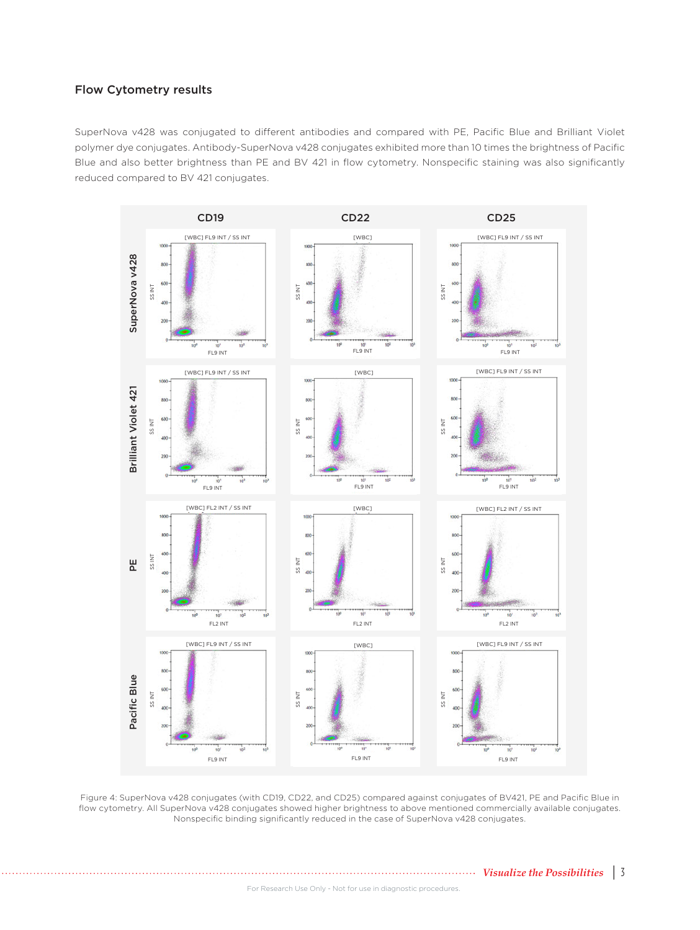## Flow Cytometry results

SuperNova v428 was conjugated to different antibodies and compared with PE, Pacific Blue and Brilliant Violet polymer dye conjugates. Antibody-SuperNova v428 conjugates exhibited more than 10 times the brightness of Pacific Blue and also better brightness than PE and BV 421 in flow cytometry. Nonspecific staining was also significantly reduced compared to BV 421 conjugates.



Figure 4: SuperNova v428 conjugates (with CD19, CD22, and CD25) compared against conjugates of BV421, PE and Pacific Blue in flow cytometry. All SuperNova v428 conjugates showed higher brightness to above mentioned commercially available conjugates. Nonspecific binding significantly reduced in the case of SuperNova v428 conjugates.

*Visualize the Possibilities* | 3